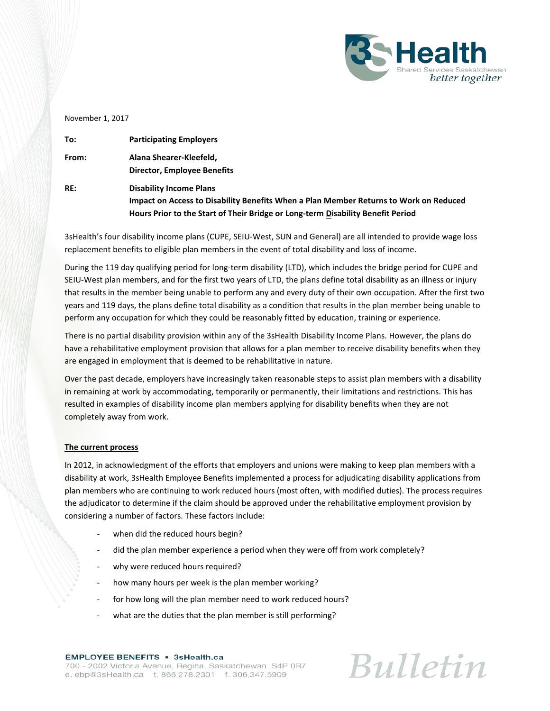

November 1, 2017

| To:   | <b>Participating Employers</b>                                                        |
|-------|---------------------------------------------------------------------------------------|
| From: | Alana Shearer-Kleefeld,                                                               |
|       | <b>Director, Employee Benefits</b>                                                    |
| RE:   | <b>Disability Income Plans</b>                                                        |
|       | Impact on Access to Disability Benefits When a Plan Member Returns to Work on Reduced |
|       | Hours Prior to the Start of Their Bridge or Long-term Disability Benefit Period       |

3sHealth's four disability income plans (CUPE, SEIU-West, SUN and General) are all intended to provide wage loss replacement benefits to eligible plan members in the event of total disability and loss of income.

During the 119 day qualifying period for long-term disability (LTD), which includes the bridge period for CUPE and SEIU-West plan members, and for the first two years of LTD, the plans define total disability as an illness or injury that results in the member being unable to perform any and every duty of their own occupation. After the first two years and 119 days, the plans define total disability as a condition that results in the plan member being unable to perform any occupation for which they could be reasonably fitted by education, training or experience.

There is no partial disability provision within any of the 3sHealth Disability Income Plans. However, the plans do have a rehabilitative employment provision that allows for a plan member to receive disability benefits when they are engaged in employment that is deemed to be rehabilitative in nature.

Over the past decade, employers have increasingly taken reasonable steps to assist plan members with a disability in remaining at work by accommodating, temporarily or permanently, their limitations and restrictions. This has resulted in examples of disability income plan members applying for disability benefits when they are not completely away from work.

## **The current process**

In 2012, in acknowledgment of the efforts that employers and unions were making to keep plan members with a disability at work, 3sHealth Employee Benefits implemented a process for adjudicating disability applications from plan members who are continuing to work reduced hours (most often, with modified duties). The process requires the adjudicator to determine if the claim should be approved under the rehabilitative employment provision by considering a number of factors. These factors include:

- when did the reduced hours begin?
- did the plan member experience a period when they were off from work completely?
- why were reduced hours required?
- how many hours per week is the plan member working?
- for how long will the plan member need to work reduced hours?
- what are the duties that the plan member is still performing?

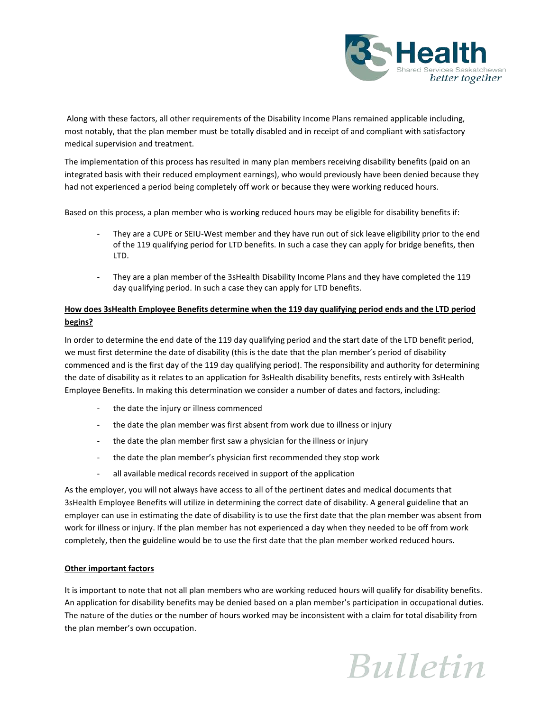

Along with these factors, all other requirements of the Disability Income Plans remained applicable including, most notably, that the plan member must be totally disabled and in receipt of and compliant with satisfactory medical supervision and treatment.

The implementation of this process has resulted in many plan members receiving disability benefits (paid on an integrated basis with their reduced employment earnings), who would previously have been denied because they had not experienced a period being completely off work or because they were working reduced hours.

Based on this process, a plan member who is working reduced hours may be eligible for disability benefits if:

- They are a CUPE or SEIU-West member and they have run out of sick leave eligibility prior to the end of the 119 qualifying period for LTD benefits. In such a case they can apply for bridge benefits, then LTD.
- They are a plan member of the 3sHealth Disability Income Plans and they have completed the 119 day qualifying period. In such a case they can apply for LTD benefits.

## **How does 3sHealth Employee Benefits determine when the 119 day qualifying period ends and the LTD period begins?**

In order to determine the end date of the 119 day qualifying period and the start date of the LTD benefit period, we must first determine the date of disability (this is the date that the plan member's period of disability commenced and is the first day of the 119 day qualifying period). The responsibility and authority for determining the date of disability as it relates to an application for 3sHealth disability benefits, rests entirely with 3sHealth Employee Benefits. In making this determination we consider a number of dates and factors, including:

- the date the injury or illness commenced
- the date the plan member was first absent from work due to illness or injury
- the date the plan member first saw a physician for the illness or injury
- the date the plan member's physician first recommended they stop work
- all available medical records received in support of the application

As the employer, you will not always have access to all of the pertinent dates and medical documents that 3sHealth Employee Benefits will utilize in determining the correct date of disability. A general guideline that an employer can use in estimating the date of disability is to use the first date that the plan member was absent from work for illness or injury. If the plan member has not experienced a day when they needed to be off from work completely, then the guideline would be to use the first date that the plan member worked reduced hours.

## **Other important factors**

It is important to note that not all plan members who are working reduced hours will qualify for disability benefits. An application for disability benefits may be denied based on a plan member's participation in occupational duties. The nature of the duties or the number of hours worked may be inconsistent with a claim for total disability from the plan member's own occupation.